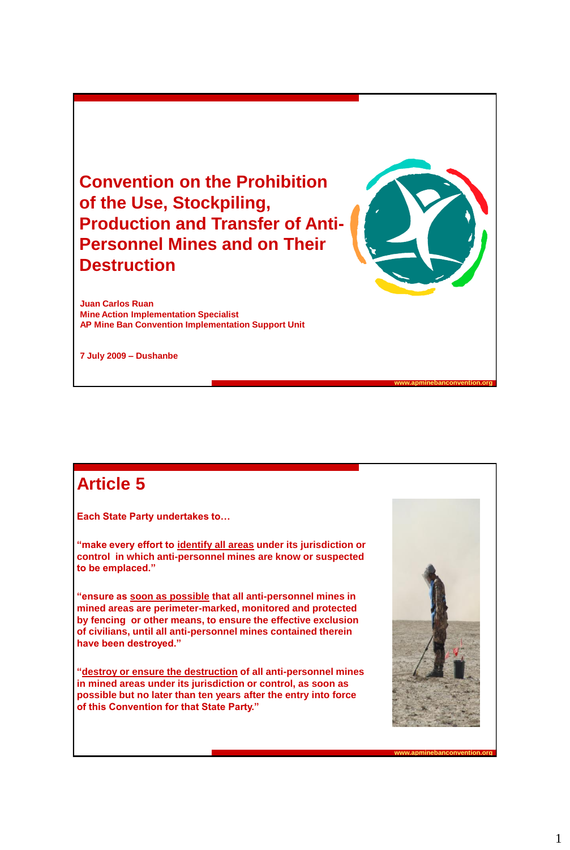**Convention on the Prohibition of the Use, Stockpiling, Production and Transfer of Anti-Personnel Mines and on Their Destruction**

**Juan Carlos Ruan Mine Action Implementation Specialist AP Mine Ban Convention Implementation Support Unit**

**7 July 2009 – Dushanbe**

## **Article 5**

**Each State Party undertakes to…**

**"make every effort to identify all areas under its jurisdiction or control in which anti-personnel mines are know or suspected to be emplaced."**

**"ensure as soon as possible that all anti-personnel mines in mined areas are perimeter-marked, monitored and protected by fencing or other means, to ensure the effective exclusion of civilians, until all anti-personnel mines contained therein have been destroyed."**

**"destroy or ensure the destruction of all anti-personnel mines in mined areas under its jurisdiction or control, as soon as possible but no later than ten years after the entry into force of this Convention for that State Party."**



**www.apminebanconvention.org**

**www.apminebanconvention.org**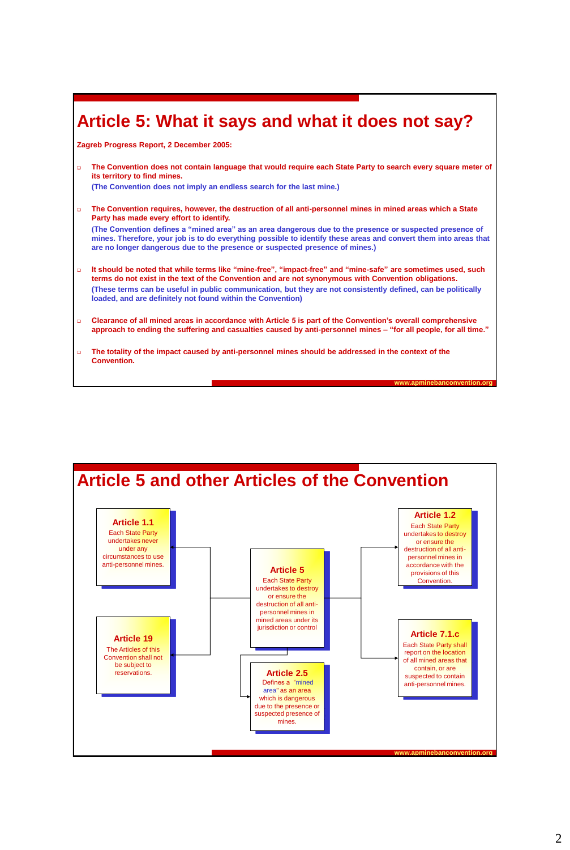## **Article 5: What it says and what it does not say?**

**Zagreb Progress Report, 2 December 2005:**

 **The Convention does not contain language that would require each State Party to search every square meter of its territory to find mines.**

**(The Convention does not imply an endless search for the last mine.)**

**are no longer dangerous due to the presence or suspected presence of mines.)**

- **The Convention requires, however, the destruction of all anti-personnel mines in mined areas which a State Party has made every effort to identify. (The Convention defines a "mined area" as an area dangerous due to the presence or suspected presence of mines. Therefore, your job is to do everything possible to identify these areas and convert them into areas that**
- **It should be noted that while terms like "mine-free", "impact-free" and "mine-safe" are sometimes used, such terms do not exist in the text of the Convention and are not synonymous with Convention obligations. (These terms can be useful in public communication, but they are not consistently defined, can be politically loaded, and are definitely not found within the Convention)**
- **Clearance of all mined areas in accordance with Article 5 is part of the Convention's overall comprehensive approach to ending the suffering and casualties caused by anti-personnel mines – "for all people, for all time."**

**www.apminebanconvention.org**

 **The totality of the impact caused by anti-personnel mines should be addressed in the context of the Convention.** 

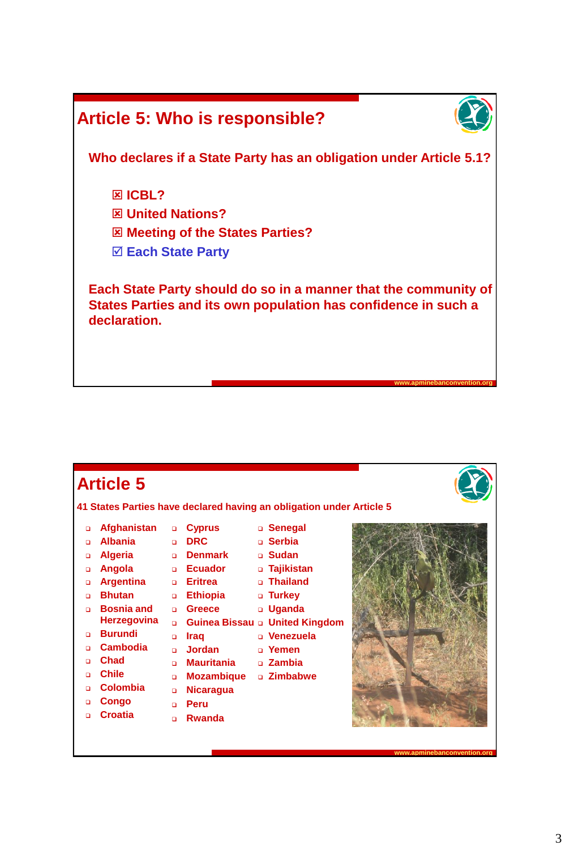

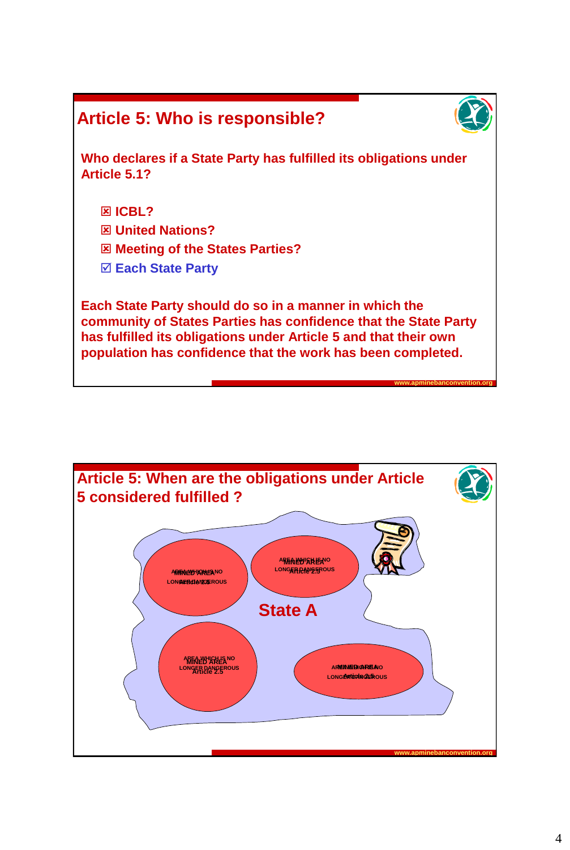



**www.apminebanconvention.org**

**Who declares if a State Party has fulfilled its obligations under Article 5.1?**

- **ICBL?**
- **United Nations?**
- **Meeting of the States Parties?**
- **Each State Party**

**Each State Party should do so in a manner in which the community of States Parties has confidence that the State Party has fulfilled its obligations under Article 5 and that their own population has confidence that the work has been completed.** 

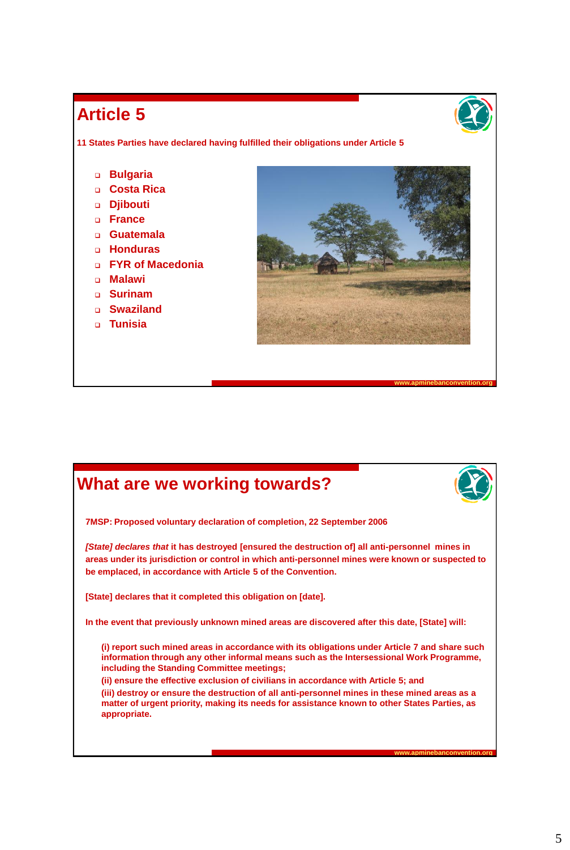#### **Article 5**

**11 States Parties have declared having fulfilled their obligations under Article 5**

- **Bulgaria**
- **Costa Rica**
- **Djibouti**
- **France**
- **Guatemala**
- **Honduras**
- **FYR of Macedonia**
- **Malawi**
- **Surinam**
- **Swaziland**
- **Tunisia**



### **What are we working towards?**



**www.apminebanconvention.org**

**www.apminebanconvention.org**

**7MSP: Proposed voluntary declaration of completion, 22 September 2006**

*[State] declares that* **it has destroyed [ensured the destruction of] all anti-personnel mines in areas under its jurisdiction or control in which anti-personnel mines were known or suspected to be emplaced, in accordance with Article 5 of the Convention.** 

**[State] declares that it completed this obligation on [date].**

**In the event that previously unknown mined areas are discovered after this date, [State] will:**

**(i) report such mined areas in accordance with its obligations under Article 7 and share such information through any other informal means such as the Intersessional Work Programme, including the Standing Committee meetings;**

**(ii) ensure the effective exclusion of civilians in accordance with Article 5; and (iii) destroy or ensure the destruction of all anti-personnel mines in these mined areas as a matter of urgent priority, making its needs for assistance known to other States Parties, as appropriate.**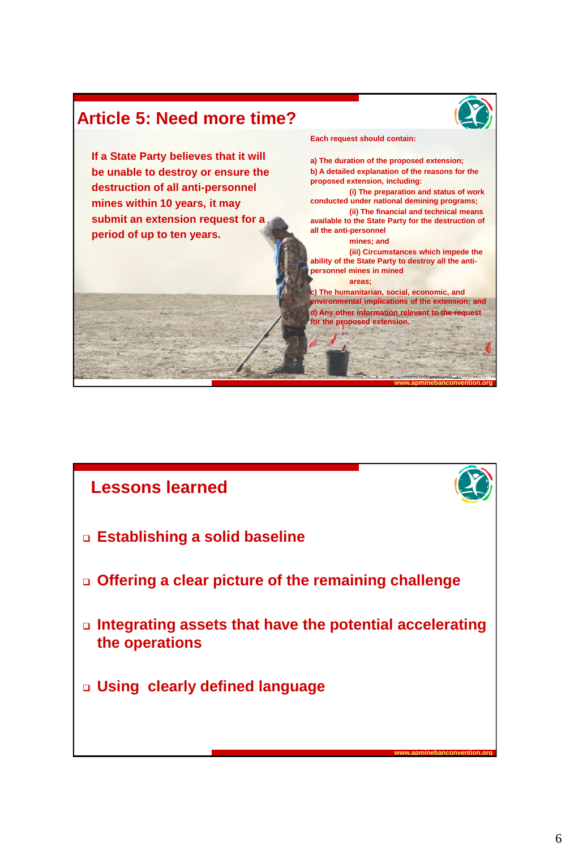